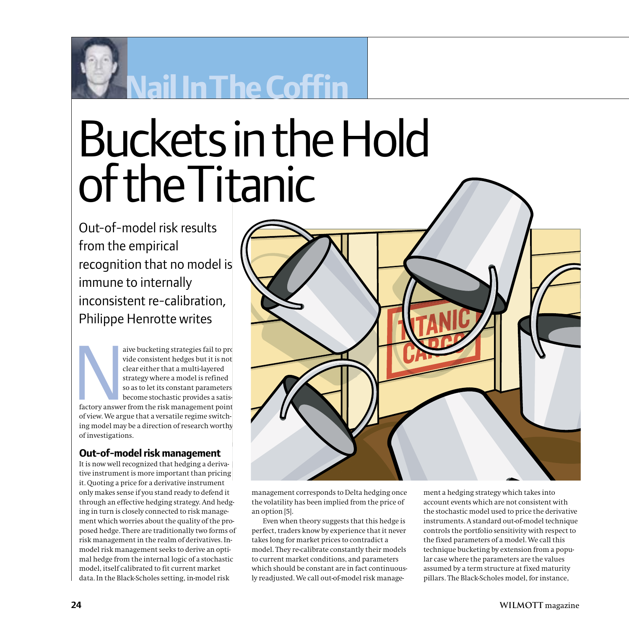

## **Nail In The Coffin**

# Buckets in the Hold of the Titanic

Out-of-model risk results from the empirical recognition that no model is immune to internally inconsistent re-calibration, Philippe Henrotte writes

aive bucketing strategies fail to provide consistent hedges but it is not clear either that a multi-layered strategy where a model is refined so as to let its constant parameters become stochastic provides a satisfactory a vide consistent hedges but it is not clear either that a multi-layered strategy where a model is refined so as to let its constant parameters become stochastic provides a satisfactory answer from the risk management point of view. We argue that a versatile regime switching model may be a direction of research worthy of investigations.

#### **Out-of-model risk management**

It is now well recognized that hedging a derivative instrument is more important than pricing it. Quoting a price for a derivative instrument only makes sense if you stand ready to defend it through an effective hedging strategy. And hedging in turn is closely connected to risk management which worries about the quality of the proposed hedge. There are traditionally two forms of risk management in the realm of derivatives. Inmodel risk management seeks to derive an optimal hedge from the internal logic of a stochastic model, itself calibrated to fit current market data. In the Black-Scholes setting, in-model risk



management corresponds to Delta hedging once the volatility has been implied from the price of an option [5].

Even when theory suggests that this hedge is perfect, traders know by experience that it never takes long for market prices to contradict a model. They re-calibrate constantly their models to current market conditions, and parameters which should be constant are in fact continuously readjusted. We call out-of-model risk management a hedging strategy which takes into account events which are not consistent with the stochastic model used to price the derivative instruments. A standard out-of-model technique controls the portfolio sensitivity with respect to the fixed parameters of a model. We call this technique bucketing by extension from a popular case where the parameters are the values assumed by a term structure at fixed maturity pillars. The Black-Scholes model, for instance,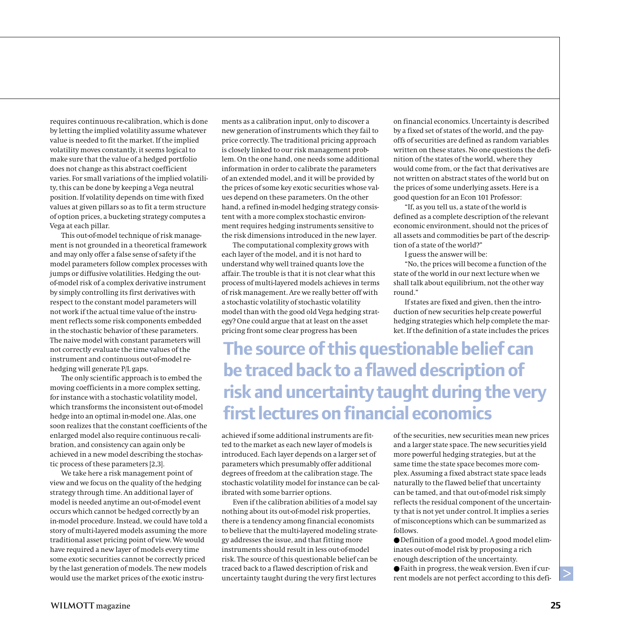requires continuous re-calibration, which is done by letting the implied volatility assume whatever value is needed to fit the market. If the implied volatility moves constantly, it seems logical to make sure that the value of a hedged portfolio does not change as this abstract coefficient varies. For small variations of the implied volatility, this can be done by keeping a Vega neutral position. If volatility depends on time with fixed values at given pillars so as to fit a term structure of option prices, a bucketing strategy computes a Vega at each pillar.

This out-of-model technique of risk management is not grounded in a theoretical framework and may only offer a false sense of safety if the model parameters follow complex processes with jumps or diffusive volatilities. Hedging the outof-model risk of a complex derivative instrument by simply controlling its first derivatives with respect to the constant model parameters will not work if the actual time value of the instrument reflects some risk components embedded in the stochastic behavior of these parameters. The naive model with constant parameters will not correctly evaluate the time values of the instrument and continuous out-of-model rehedging will generate P/L gaps.

The only scientific approach is to embed the moving coefficients in a more complex setting, for instance with a stochastic volatility model, which transforms the inconsistent out-of-model hedge into an optimal in-model one. Alas, one soon realizes that the constant coefficients of the enlarged model also require continuous re-calibration, and consistency can again only be achieved in a new model describing the stochastic process of these parameters [2,3].

We take here a risk management point of view and we focus on the quality of the hedging strategy through time. An additional layer of model is needed anytime an out-of-model event occurs which cannot be hedged correctly by an in-model procedure. Instead, we could have told a story of multi-layered models assuming the more traditional asset pricing point of view. We would have required a new layer of models every time some exotic securities cannot be correctly priced by the last generation of models. The new models would use the market prices of the exotic instru-

ments as a calibration input, only to discover a new generation of instruments which they fail to price correctly. The traditional pricing approach is closely linked to our risk management problem. On the one hand, one needs some additional information in order to calibrate the parameters of an extended model, and it will be provided by the prices of some key exotic securities whose values depend on these parameters. On the other hand, a refined in-model hedging strategy consistent with a more complex stochastic environment requires hedging instruments sensitive to the risk dimensions introduced in the new layer.

The computational complexity grows with each layer of the model, and it is not hard to understand why well trained quants love the affair. The trouble is that it is not clear what this process of multi-layered models achieves in terms of risk management. Are we really better off with a stochastic volatility of stochastic volatility model than with the good old Vega hedging strategy? One could argue that at least on the asset pricing front some clear progress has been

on financial economics. Uncertainty is described by a fixed set of states of the world, and the payoffs of securities are defined as random variables written on these states. No one questions the definition of the states of the world, where they would come from, or the fact that derivatives are not written on abstract states of the world but on the prices of some underlying assets. Here is a good question for an Econ 101 Professor:

"If, as you tell us, a state of the world is defined as a complete description of the relevant economic environment, should not the prices of all assets and commodities be part of the description of a state of the world?"

I guess the answer will be:

"No, the prices will become a function of the state of the world in our next lecture when we shall talk about equilibrium, not the other way round."

If states are fixed and given, then the introduction of new securities help create powerful hedging strategies which help complete the market. If the definition of a state includes the prices

**The source of this questionable belief can be traced back to a flawed description of risk and uncertainty taught during the very first lectures on financial economics**

achieved if some additional instruments are fitted to the market as each new layer of models is introduced. Each layer depends on a larger set of parameters which presumably offer additional degrees of freedom at the calibration stage. The stochastic volatility model for instance can be calibrated with some barrier options.

Even if the calibration abilities of a model say nothing about its out-of-model risk properties, there is a tendency among financial economists to believe that the multi-layered modeling strategy addresses the issue, and that fitting more instruments should result in less out-of-model risk. The source of this questionable belief can be traced back to a flawed description of risk and uncertainty taught during the very first lectures

of the securities, new securities mean new prices and a larger state space. The new securities yield more powerful hedging strategies, but at the same time the state space becomes more complex. Assuming a fixed abstract state space leads naturally to the flawed belief that uncertainty can be tamed, and that out-of-model risk simply reflects the residual component of the uncertainty that is not yet under control. It implies a series of misconceptions which can be summarized as follows.

● Definition of a good model. A good model eliminates out-of-model risk by proposing a rich enough description of the uncertainty.

● Faith in progress, the weak version. Even if current models are not perfect according to this defi-

 $\geq$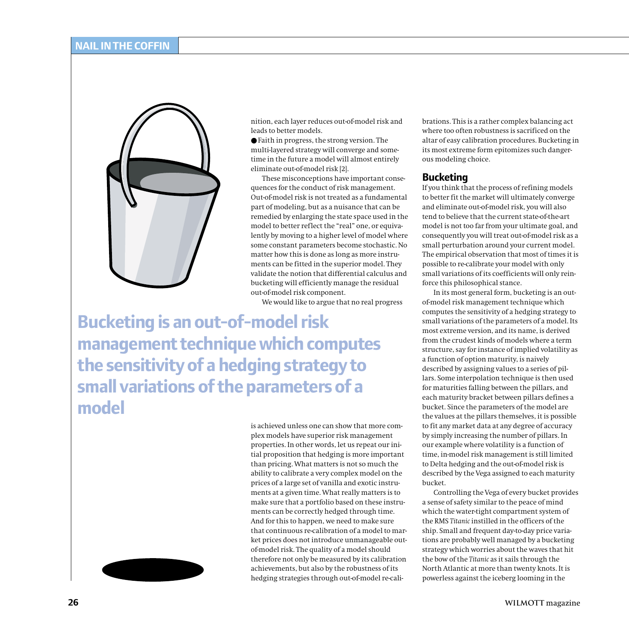

nition, each layer reduces out-of-model risk and leads to better models.

● Faith in progress, the strong version. The multi-layered strategy will converge and sometime in the future a model will almost entirely eliminate out-of-model risk [2].

These misconceptions have important consequences for the conduct of risk management. Out-of-model risk is not treated as a fundamental part of modeling, but as a nuisance that can be remedied by enlarging the state space used in the model to better reflect the "real" one, or equivalently by moving to a higher level of model where some constant parameters become stochastic. No matter how this is done as long as more instruments can be fitted in the superior model. They validate the notion that differential calculus and bucketing will efficiently manage the residual out-of-model risk component.

We would like to argue that no real progress

**Bucketing is an out-of-model risk management technique which computes the sensitivity of a hedging strategy to small variations of the parameters of a model**

> is achieved unless one can show that more complex models have superior risk management properties. In other words, let us repeat our initial proposition that hedging is more important than pricing. What matters is not so much the ability to calibrate a very complex model on the prices of a large set of vanilla and exotic instruments at a given time. What really matters is to make sure that a portfolio based on these instruments can be correctly hedged through time. And for this to happen, we need to make sure that continuous re-calibration of a model to market prices does not introduce unmanageable outof-model risk. The quality of a model should therefore not only be measured by its calibration achievements, but also by the robustness of its hedging strategies through out-of-model re-cali

brations. This is a rather complex balancing act where too often robustness is sacrificed on the altar of easy calibration procedures. Bucketing in its most extreme form epitomizes such dangerous modeling choice.

#### **Bucketing**

If you think that the process of refining models to better fit the market will ultimately converge and eliminate out-of-model risk, you will also tend to believe that the current state-of-the-art model is not too far from your ultimate goal, and consequently you will treat out-of-model risk as a small perturbation around your current model. The empirical observation that most of times it is possible to re-calibrate your model with only small variations of its coefficients will only reinforce this philosophical stance.

In its most general form, bucketing is an outof-model risk management technique which computes the sensitivity of a hedging strategy to small variations of the parameters of a model. Its most extreme version, and its name, is derived from the crudest kinds of models where a term structure, say for instance of implied volatility as a function of option maturity, is naively described by assigning values to a series of pillars. Some interpolation technique is then used for maturities falling between the pillars, and each maturity bracket between pillars defines a bucket. Since the parameters of the model are the values at the pillars themselves, it is possible to fit any market data at any degree of accuracy by simply increasing the number of pillars. In our example where volatility is a function of time, in-model risk management is still limited to Delta hedging and the out-of-model risk is described by the Vega assigned to each maturity bucket.

Controlling the Vega of every bucket provides a sense of safety similar to the peace of mind which the water-tight compartment system of the RMS *Titanic* instilled in the officers of the ship. Small and frequent day-to-day price variations are probably well managed by a bucketing strategy which worries about the waves that hit the bow of the *Titanic* as it sails through the North Atlantic at more than twenty knots. It is powerless against the iceberg looming in the